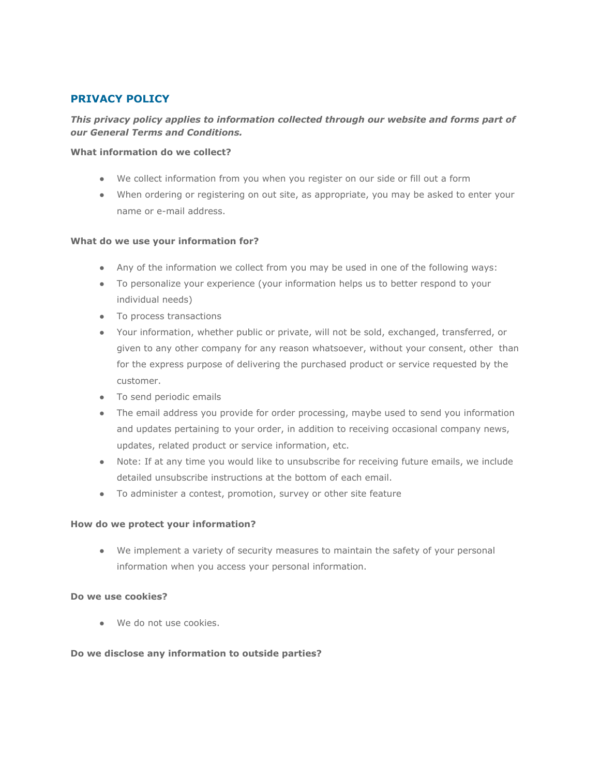# **PRIVACY POLICY**

## *This privacy policy applies to information collected through our website and forms part of our General Terms and Conditions.*

#### **What information do we collect?**

- We collect information from you when you register on our side or fill out a form
- When ordering or registering on out site, as appropriate, you may be asked to enter your name or e-mail address.

### **What do we use your information for?**

- Any of the information we collect from you may be used in one of the following ways:
- To personalize your experience (your information helps us to better respond to your individual needs)
- To process transactions
- Your information, whether public or private, will not be sold, exchanged, transferred, or given to any other company for any reason whatsoever, without your consent, other than for the express purpose of delivering the purchased product or service requested by the customer.
- To send periodic emails
- The email address you provide for order processing, maybe used to send you information and updates pertaining to your order, in addition to receiving occasional company news, updates, related product or service information, etc.
- Note: If at any time you would like to unsubscribe for receiving future emails, we include detailed unsubscribe instructions at the bottom of each email.
- To administer a contest, promotion, survey or other site feature

### **How do we protect your information?**

● We implement a variety of security measures to maintain the safety of your personal information when you access your personal information.

### **Do we use cookies?**

● We do not use cookies.

### **Do we disclose any information to outside parties?**